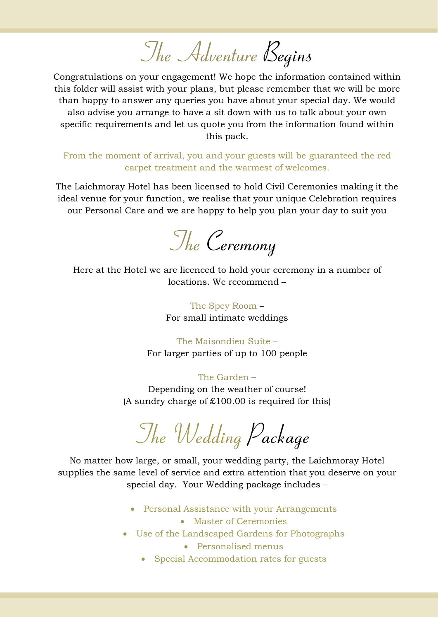*The Adventure Begins*

Congratulations on your engagement! We hope the information contained within this folder will assist with your plans, but please remember that we will be more than happy to answer any queries you have about your special day. We would also advise you arrange to have a sit down with us to talk about your own specific requirements and let us quote you from the information found within this pack.

From the moment of arrival, you and your guests will be guaranteed the red carpet treatment and the warmest of welcomes.

The Laichmoray Hotel has been licensed to hold Civil Ceremonies making it the ideal venue for your function, we realise that your unique Celebration requires our Personal Care and we are happy to help you plan your day to suit you

*The Ceremony*

Here at the Hotel we are licenced to hold your ceremony in a number of locations. We recommend –

> The Spey Room – For small intimate weddings

The Maisondieu Suite – For larger parties of up to 100 people

# The Garden –

Depending on the weather of course! (A sundry charge of  $£100.00$  is required for this)

*The Wedding Package*

No matter how large, or small, your wedding party, the Laichmoray Hotel supplies the same level of service and extra attention that you deserve on your special day. Your Wedding package includes –

- Personal Assistance with your Arrangements
	- Master of Ceremonies
- Use of the Landscaped Gardens for Photographs
	- Personalised menus
	- Special Accommodation rates for guests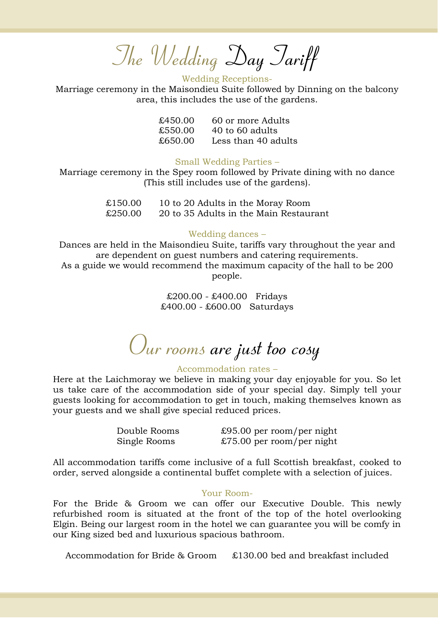# *The Wedding Day Tariff*

#### Wedding Receptions-

Marriage ceremony in the Maisondieu Suite followed by Dinning on the balcony area, this includes the use of the gardens.

| £450.00 | 60 or more Adults   |
|---------|---------------------|
| £550.00 | 40 to 60 adults     |
| £650.00 | Less than 40 adults |

## Small Wedding Parties –

Marriage ceremony in the Spey room followed by Private dining with no dance (This still includes use of the gardens).

> £150.00 10 to 20 Adults in the Moray Room £250.00 20 to 35 Adults in the Main Restaurant

## Wedding dances –

Dances are held in the Maisondieu Suite, tariffs vary throughout the year and are dependent on guest numbers and catering requirements. As a guide we would recommend the maximum capacity of the hall to be 200 people.

> £200.00 - £400.00 Fridays £400.00 - £600.00 Saturdays

*Our rooms are just too cosy*

## Accommodation rates –

Here at the Laichmoray we believe in making your day enjoyable for you. So let us take care of the accommodation side of your special day. Simply tell your guests looking for accommodation to get in touch, making themselves known as your guests and we shall give special reduced prices.

Double Rooms £95.00 per room/per night Single Rooms £75.00 per room/per night

All accommodation tariffs come inclusive of a full Scottish breakfast, cooked to order, served alongside a continental buffet complete with a selection of juices.

#### Your Room-

For the Bride & Groom we can offer our Executive Double. This newly refurbished room is situated at the front of the top of the hotel overlooking Elgin. Being our largest room in the hotel we can guarantee you will be comfy in our King sized bed and luxurious spacious bathroom.

Accommodation for Bride & Groom £130.00 bed and breakfast included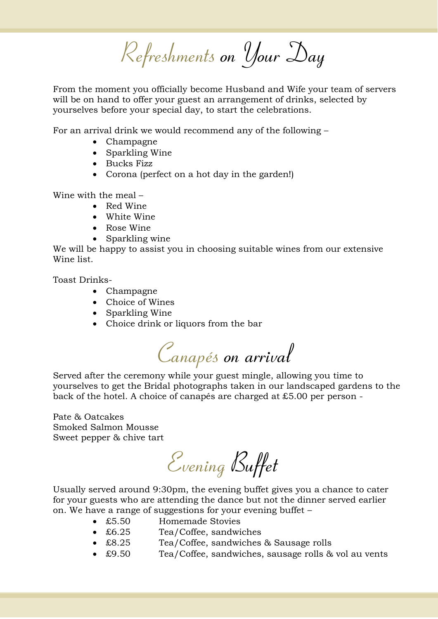*Refreshments on Your Day*

From the moment you officially become Husband and Wife your team of servers will be on hand to offer your guest an arrangement of drinks, selected by yourselves before your special day, to start the celebrations.

For an arrival drink we would recommend any of the following –

- Champagne
- Sparkling Wine
- Bucks Fizz
- Corona (perfect on a hot day in the garden!)

Wine with the meal –

- Red Wine
- White Wine
- Rose Wine
- Sparkling wine

We will be happy to assist you in choosing suitable wines from our extensive Wine list.

Toast Drinks-

- Champagne
- Choice of Wines
- Sparkling Wine
- Choice drink or liquors from the bar

*Canapés on arrival*

Served after the ceremony while your guest mingle, allowing you time to yourselves to get the Bridal photographs taken in our landscaped gardens to the back of the hotel. A choice of canapés are charged at £5.00 per person -

Pate & Oatcakes Smoked Salmon Mousse Sweet pepper & chive tart

*Evening Buffet*

Usually served around 9:30pm, the evening buffet gives you a chance to cater for your guests who are attending the dance but not the dinner served earlier on. We have a range of suggestions for your evening buffet –

- £5.50 Homemade Stovies
- £6.25 Tea/Coffee, sandwiches
- £8.25 Tea/Coffee, sandwiches & Sausage rolls
- £9.50 Tea/Coffee, sandwiches, sausage rolls & vol au vents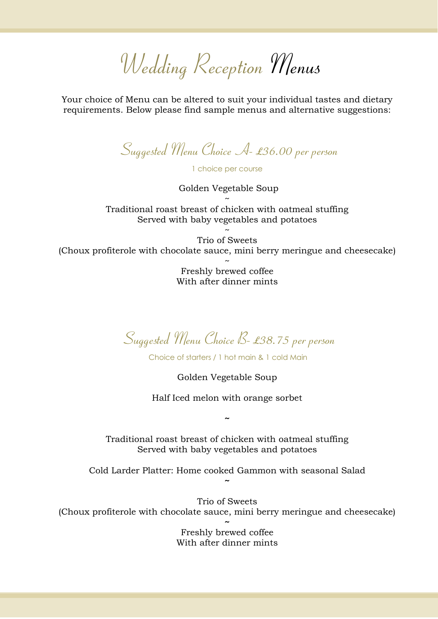*Wedding Reception Menus*

Your choice of Menu can be altered to suit your individual tastes and dietary requirements. Below please find sample menus and alternative suggestions:

*Suggested Menu Choice A- £36.00 per person*

1 choice per course

Golden Vegetable Soup ~

Traditional roast breast of chicken with oatmeal stuffing Served with baby vegetables and potatoes

~ Trio of Sweets (Choux profiterole with chocolate sauce, mini berry meringue and cheesecake)

> ~ Freshly brewed coffee With after dinner mints

*Suggested Menu Choice B- £38.75 per person*

Choice of starters / 1 hot main & 1 cold Main

Golden Vegetable Soup

Half Iced melon with orange sorbet

**~**

Traditional roast breast of chicken with oatmeal stuffing Served with baby vegetables and potatoes

Cold Larder Platter: Home cooked Gammon with seasonal Salad **~**

Trio of Sweets (Choux profiterole with chocolate sauce, mini berry meringue and cheesecake) **~**

> Freshly brewed coffee With after dinner mints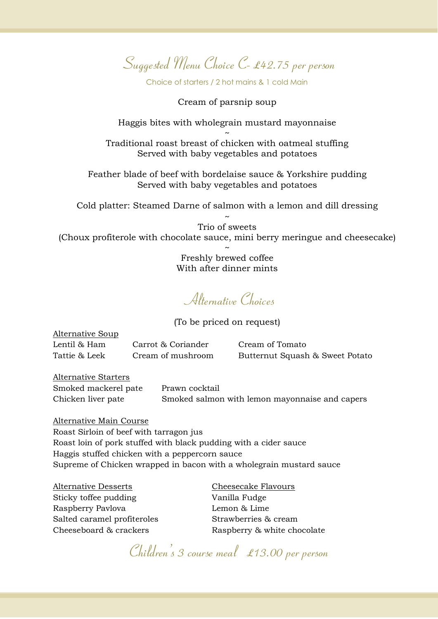*Suggested Menu Choice C- £42.75 per person*

Choice of starters / 2 hot mains & 1 cold Main

Cream of parsnip soup

Haggis bites with wholegrain mustard mayonnaise

~ Traditional roast breast of chicken with oatmeal stuffing Served with baby vegetables and potatoes

Feather blade of beef with bordelaise sauce & Yorkshire pudding Served with baby vegetables and potatoes

Cold platter: Steamed Darne of salmon with a lemon and dill dressing

~ Trio of sweets (Choux profiterole with chocolate sauce, mini berry meringue and cheesecake)

> ~ Freshly brewed coffee With after dinner mints

*Alternative Choices*

(To be priced on request)

| Alternative Soup |                    |                                 |
|------------------|--------------------|---------------------------------|
| Lentil & Ham     | Carrot & Coriander | Cream of Tomato                 |
| Tattie & Leek    | Cream of mushroom  | Butternut Squash & Sweet Potato |

Alternative Starters Smoked mackerel pate Prawn cocktail

Chicken liver pate Smoked salmon with lemon mayonnaise and capers

Alternative Main Course Roast Sirloin of beef with tarragon jus Roast loin of pork stuffed with black pudding with a cider sauce Haggis stuffed chicken with a peppercorn sauce Supreme of Chicken wrapped in bacon with a wholegrain mustard sauce

Alternative Desserts Cheesecake Flavours Sticky toffee pudding Vanilla Fudge Raspberry Pavlova Lemon & Lime Salted caramel profiteroles Strawberries & cream

Cheeseboard & crackers Raspberry & white chocolate

*Children's 3 course meal £13.00 per person*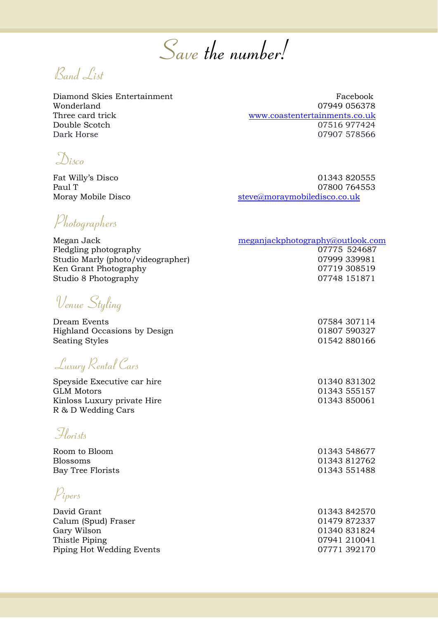*Save the number!*

*Band List*

Diamond Skies Entertainment Facebook Wonderland 07949 056378 Three card trick [www.coastentertainments.co.uk](http://www.coastentertainments.co.uk/) Double Scotch 07516 977424 Dark Horse 07907 578566

*Disco*

Fat Willy's Disco 01343 820555 Paul T 07800 764553 Moray Mobile Disco<br> [steve@moraymobiledisco.co.uk](mailto:steve@moraymobiledisco.co.uk)

*Photographers*

Megan Jack Fledgling photography 07775 524687 Studio Marly (photo/videographer) 07999 339981 Ken Grant Photography **67719** 308519 Studio 8 Photography 2007748 151871

*Venue Styling* 

Dream Events 07584 307114 Highland Occasions by Design 01807 590327 Seating Styles 6. 201542 880166

*Luxury Rental Cars*

Speyside Executive car hire 01340 831302 GLM Motors **61343 555157** Kinloss Luxury private Hire 01343 850061 R & D Wedding Cars

*Florists*

Room to Bloom 01343 548677 Blossoms 01343 812762 Bay Tree Florists 01343 551488

*Pipers*

David Grant 01343 842570 Calum (Spud) Fraser 01479 872337 Gary Wilson 01340 831824 Thistle Piping 07941 210041 Piping Hot Wedding Events 07771 392170

| meganjackphotography@outlook.com |  |  |  |
|----------------------------------|--|--|--|
|                                  |  |  |  |